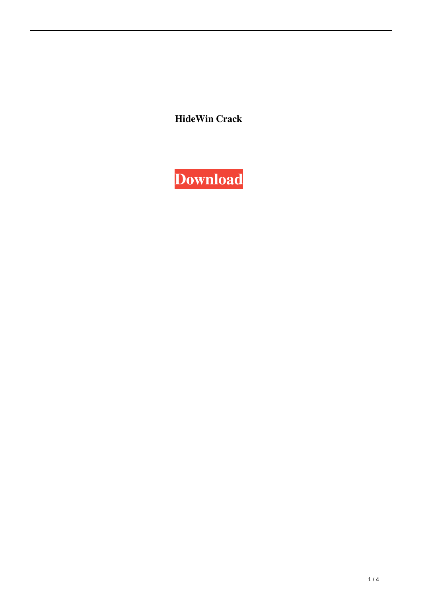**HideWin Crack**

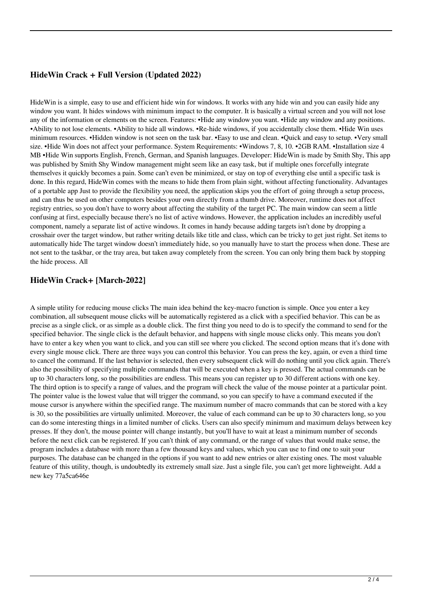# **HideWin Crack + Full Version (Updated 2022)**

HideWin is a simple, easy to use and efficient hide win for windows. It works with any hide win and you can easily hide any window you want. It hides windows with minimum impact to the computer. It is basically a virtual screen and you will not lose any of the information or elements on the screen. Features: •Hide any window you want. •Hide any window and any positions. •Ability to not lose elements. •Ability to hide all windows. •Re-hide windows, if you accidentally close them. •Hide Win uses minimum resources. •Hidden window is not seen on the task bar. •Easy to use and clean. •Quick and easy to setup. •Very small size. •Hide Win does not affect your performance. System Requirements: •Windows 7, 8, 10. •2GB RAM. •Installation size 4 MB •Hide Win supports English, French, German, and Spanish languages. Developer: HideWin is made by Smith Shy, This app was published by Smith Shy Window management might seem like an easy task, but if multiple ones forcefully integrate themselves it quickly becomes a pain. Some can't even be minimized, or stay on top of everything else until a specific task is done. In this regard, HideWin comes with the means to hide them from plain sight, without affecting functionality. Advantages of a portable app Just to provide the flexibility you need, the application skips you the effort of going through a setup process, and can thus be used on other computers besides your own directly from a thumb drive. Moreover, runtime does not affect registry entries, so you don't have to worry about affecting the stability of the target PC. The main window can seem a little confusing at first, especially because there's no list of active windows. However, the application includes an incredibly useful component, namely a separate list of active windows. It comes in handy because adding targets isn't done by dropping a crosshair over the target window, but rather writing details like title and class, which can be tricky to get just right. Set items to automatically hide The target window doesn't immediately hide, so you manually have to start the process when done. These are not sent to the taskbar, or the tray area, but taken away completely from the screen. You can only bring them back by stopping the hide process. All

### **HideWin Crack+ [March-2022]**

A simple utility for reducing mouse clicks The main idea behind the key-macro function is simple. Once you enter a key combination, all subsequent mouse clicks will be automatically registered as a click with a specified behavior. This can be as precise as a single click, or as simple as a double click. The first thing you need to do is to specify the command to send for the specified behavior. The single click is the default behavior, and happens with single mouse clicks only. This means you don't have to enter a key when you want to click, and you can still see where you clicked. The second option means that it's done with every single mouse click. There are three ways you can control this behavior. You can press the key, again, or even a third time to cancel the command. If the last behavior is selected, then every subsequent click will do nothing until you click again. There's also the possibility of specifying multiple commands that will be executed when a key is pressed. The actual commands can be up to 30 characters long, so the possibilities are endless. This means you can register up to 30 different actions with one key. The third option is to specify a range of values, and the program will check the value of the mouse pointer at a particular point. The pointer value is the lowest value that will trigger the command, so you can specify to have a command executed if the mouse cursor is anywhere within the specified range. The maximum number of macro commands that can be stored with a key is 30, so the possibilities are virtually unlimited. Moreover, the value of each command can be up to 30 characters long, so you can do some interesting things in a limited number of clicks. Users can also specify minimum and maximum delays between key presses. If they don't, the mouse pointer will change instantly, but you'll have to wait at least a minimum number of seconds before the next click can be registered. If you can't think of any command, or the range of values that would make sense, the program includes a database with more than a few thousand keys and values, which you can use to find one to suit your purposes. The database can be changed in the options if you want to add new entries or alter existing ones. The most valuable feature of this utility, though, is undoubtedly its extremely small size. Just a single file, you can't get more lightweight. Add a new key 77a5ca646e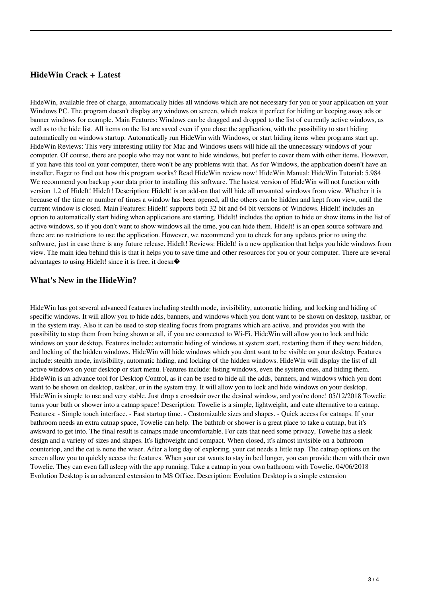### **HideWin Crack + Latest**

HideWin, available free of charge, automatically hides all windows which are not necessary for you or your application on your Windows PC. The program doesn't display any windows on screen, which makes it perfect for hiding or keeping away ads or banner windows for example. Main Features: Windows can be dragged and dropped to the list of currently active windows, as well as to the hide list. All items on the list are saved even if you close the application, with the possibility to start hiding automatically on windows startup. Automatically run HideWin with Windows, or start hiding items when programs start up. HideWin Reviews: This very interesting utility for Mac and Windows users will hide all the unnecessary windows of your computer. Of course, there are people who may not want to hide windows, but prefer to cover them with other items. However, if you have this tool on your computer, there won't be any problems with that. As for Windows, the application doesn't have an installer. Eager to find out how this program works? Read HideWin review now! HideWin Manual: HideWin Tutorial: 5.984 We recommend you backup your data prior to installing this software. The lastest version of HideWin will not function with version 1.2 of HideIt! HideIt! Description: HideIt! is an add-on that will hide all unwanted windows from view. Whether it is because of the time or number of times a window has been opened, all the others can be hidden and kept from view, until the current window is closed. Main Features: HideIt! supports both 32 bit and 64 bit versions of Windows. HideIt! includes an option to automatically start hiding when applications are starting. HideIt! includes the option to hide or show items in the list of active windows, so if you don't want to show windows all the time, you can hide them. HideIt! is an open source software and there are no restrictions to use the application. However, we recommend you to check for any updates prior to using the software, just in case there is any future release. HideIt! Reviews: HideIt! is a new application that helps you hide windows from view. The main idea behind this is that it helps you to save time and other resources for you or your computer. There are several advantages to using HideIt! since it is free, it doesn�

#### **What's New in the HideWin?**

HideWin has got several advanced features including stealth mode, invisibility, automatic hiding, and locking and hiding of specific windows. It will allow you to hide adds, banners, and windows which you dont want to be shown on desktop, taskbar, or in the system tray. Also it can be used to stop stealing focus from programs which are active, and provides you with the possibility to stop them from being shown at all, if you are connected to Wi-Fi. HideWin will allow you to lock and hide windows on your desktop. Features include: automatic hiding of windows at system start, restarting them if they were hidden, and locking of the hidden windows. HideWin will hide windows which you dont want to be visible on your desktop. Features include: stealth mode, invisibility, automatic hiding, and locking of the hidden windows. HideWin will display the list of all active windows on your desktop or start menu. Features include: listing windows, even the system ones, and hiding them. HideWin is an advance tool for Desktop Control, as it can be used to hide all the adds, banners, and windows which you dont want to be shown on desktop, taskbar, or in the system tray. It will allow you to lock and hide windows on your desktop. HideWin is simple to use and very stable. Just drop a crosshair over the desired window, and you're done! 05/12/2018 Towelie turns your bath or shower into a catnap space! Description: Towelie is a simple, lightweight, and cute alternative to a catnap. Features: - Simple touch interface. - Fast startup time. - Customizable sizes and shapes. - Quick access for catnaps. If your bathroom needs an extra catnap space, Towelie can help. The bathtub or shower is a great place to take a catnap, but it's awkward to get into. The final result is catnaps made uncomfortable. For cats that need some privacy, Towelie has a sleek design and a variety of sizes and shapes. It's lightweight and compact. When closed, it's almost invisible on a bathroom countertop, and the cat is none the wiser. After a long day of exploring, your cat needs a little nap. The catnap options on the screen allow you to quickly access the features. When your cat wants to stay in bed longer, you can provide them with their own Towelie. They can even fall asleep with the app running. Take a catnap in your own bathroom with Towelie. 04/06/2018 Evolution Desktop is an advanced extension to MS Office. Description: Evolution Desktop is a simple extension